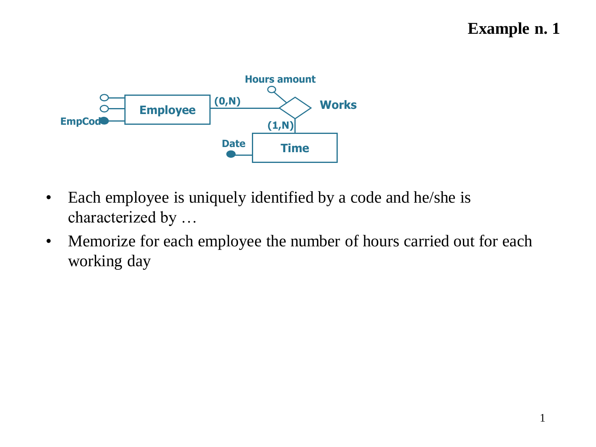## **Example n. 1**



- Each employee is uniquely identified by a code and he/she is characterized by …
- Memorize for each employee the number of hours carried out for each working day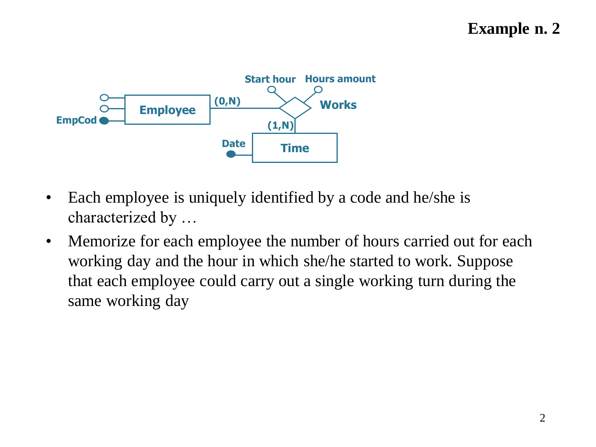

- Each employee is uniquely identified by a code and he/she is characterized by …
- Memorize for each employee the number of hours carried out for each working day and the hour in which she/he started to work. Suppose that each employee could carry out a single working turn during the same working day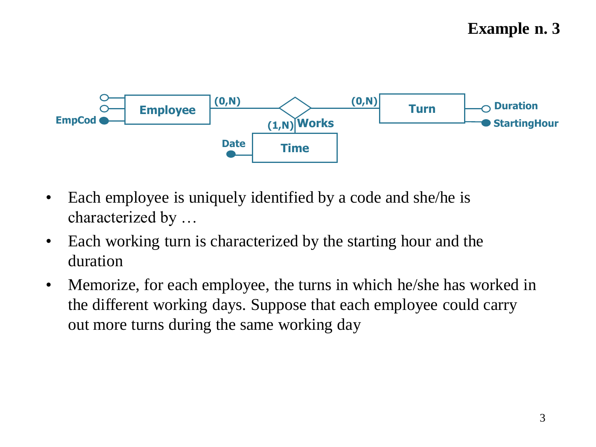

- Each employee is uniquely identified by a code and she/he is characterized by …
- Each working turn is characterized by the starting hour and the duration
- Memorize, for each employee, the turns in which he/she has worked in the different working days. Suppose that each employee could carry out more turns during the same working day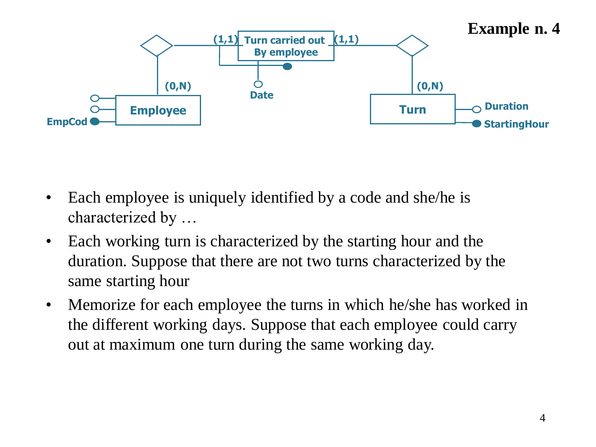

- Each employee is uniquely identified by a code and she/he is characterized by …
- Each working turn is characterized by the starting hour and the duration. Suppose that there are not two turns characterized by the same starting hour
- Memorize for each employee the turns in which he/she has worked in the different working days. Suppose that each employee could carry out at maximum one turn during the same working day.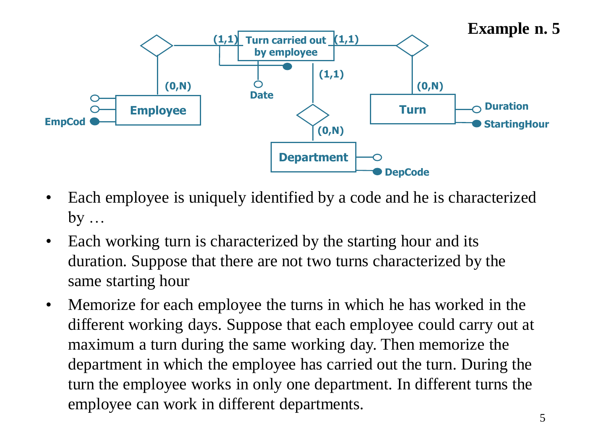

- Each employee is uniquely identified by a code and he is characterized  $by \ldots$
- Each working turn is characterized by the starting hour and its duration. Suppose that there are not two turns characterized by the same starting hour
- Memorize for each employee the turns in which he has worked in the different working days. Suppose that each employee could carry out at maximum a turn during the same working day. Then memorize the department in which the employee has carried out the turn. During the turn the employee works in only one department. In different turns the employee can work in different departments.